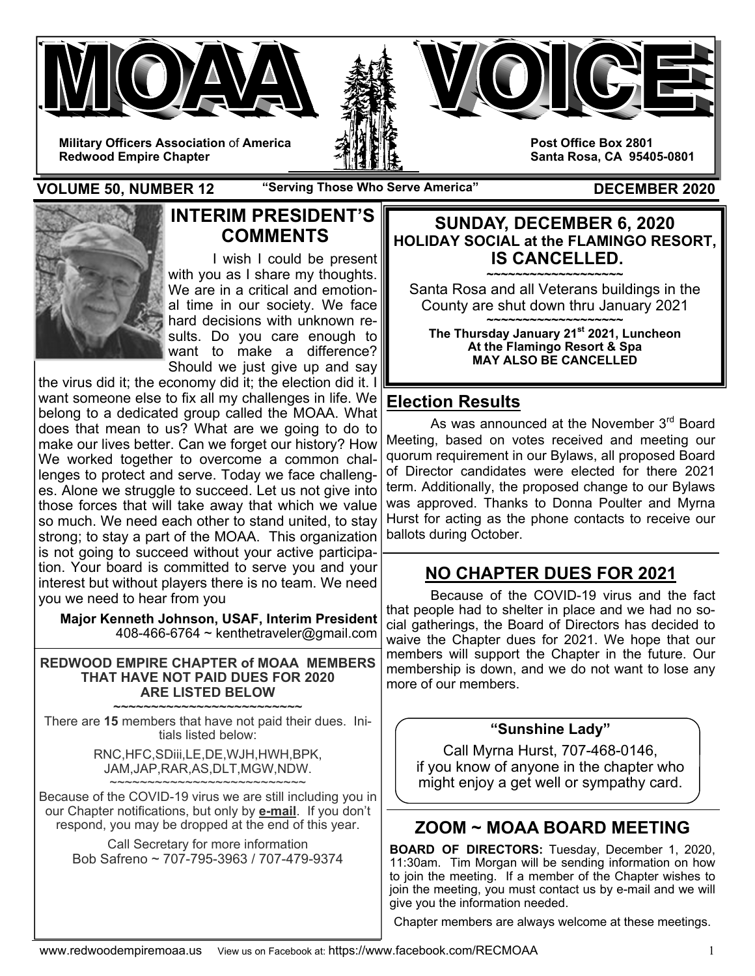

**Redwood Empire Chapter** 

**VOLUME 50, NUMBER 12 "Serving Those Who Serve America" DECEMBER 2020** 



## **INTERIM PRESIDENT'S COMMENTS**

I wish I could be present with you as I share my thoughts. We are in a critical and emotional time in our society. We face hard decisions with unknown results. Do you care enough to want to make a difference? Should we just give up and say

the virus did it; the economy did it; the election did it. I want someone else to fix all my challenges in life. We belong to a dedicated group called the MOAA. What does that mean to us? What are we going to do to make our lives better. Can we forget our history? How We worked together to overcome a common challenges to protect and serve. Today we face challenges. Alone we struggle to succeed. Let us not give into those forces that will take away that which we value so much. We need each other to stand united, to stay strong; to stay a part of the MOAA. This organization is not going to succeed without your active participation. Your board is committed to serve you and your interest but without players there is no team. We need you we need to hear from you

**Major Kenneth Johnson, USAF, Interim President**  408-466-6764 ~ kenthetraveler@gmail.com

#### **REDWOOD EMPIRE CHAPTER of MOAA MEMBERS THAT HAVE NOT PAID DUES FOR 2020 ARE LISTED BELOW**

**~~~~~~~~~~~~~~~~~~~~~~~~~**  There are **15** members that have not paid their dues. Initials listed below:

> RNC,HFC,SDiii,LE,DE,WJH,HWH,BPK, JAM,JAP,RAR,AS,DLT,MGW,NDW. ~~~~~~~~~~~~~~~~~~~~~~~~

Because of the COVID-19 virus we are still including you in our Chapter notifications, but only by **e-mail**. If you don't respond, you may be dropped at the end of this year.

Call Secretary for more information Bob Safreno ~ 707-795-3963 / 707-479-9374

**SUNDAY, DECEMBER 6, 2020 HOLIDAY SOCIAL at the FLAMINGO RESORT, IS CANCELLED.** 

**~~~~~~~~~~~~~~~~~~~**  Santa Rosa and all Veterans buildings in the County are shut down thru January 2021 **~~~~~~~~~~~~~~~~~~~** 

**The Thursday January 21st 2021, Luncheon At the Flamingo Resort & Spa MAY ALSO BE CANCELLED** 

## **Election Results**

As was announced at the November 3<sup>rd</sup> Board Meeting, based on votes received and meeting our quorum requirement in our Bylaws, all proposed Board of Director candidates were elected for there 2021 term. Additionally, the proposed change to our Bylaws was approved. Thanks to Donna Poulter and Myrna Hurst for acting as the phone contacts to receive our ballots during October.

## **NO CHAPTER DUES FOR 2021**

 Because of the COVID-19 virus and the fact that people had to shelter in place and we had no social gatherings, the Board of Directors has decided to waive the Chapter dues for 2021. We hope that our members will support the Chapter in the future. Our membership is down, and we do not want to lose any more of our members.

### **"Sunshine Lady"**

Call Myrna Hurst, 707-468-0146, if you know of anyone in the chapter who might enjoy a get well or sympathy card.

# **ZOOM ~ MOAA BOARD MEETING**

**BOARD OF DIRECTORS:** Tuesday, December 1, 2020, 11:30am. Tim Morgan will be sending information on how to join the meeting. If a member of the Chapter wishes to join the meeting, you must contact us by e-mail and we will give you the information needed.

Chapter members are always welcome at these meetings.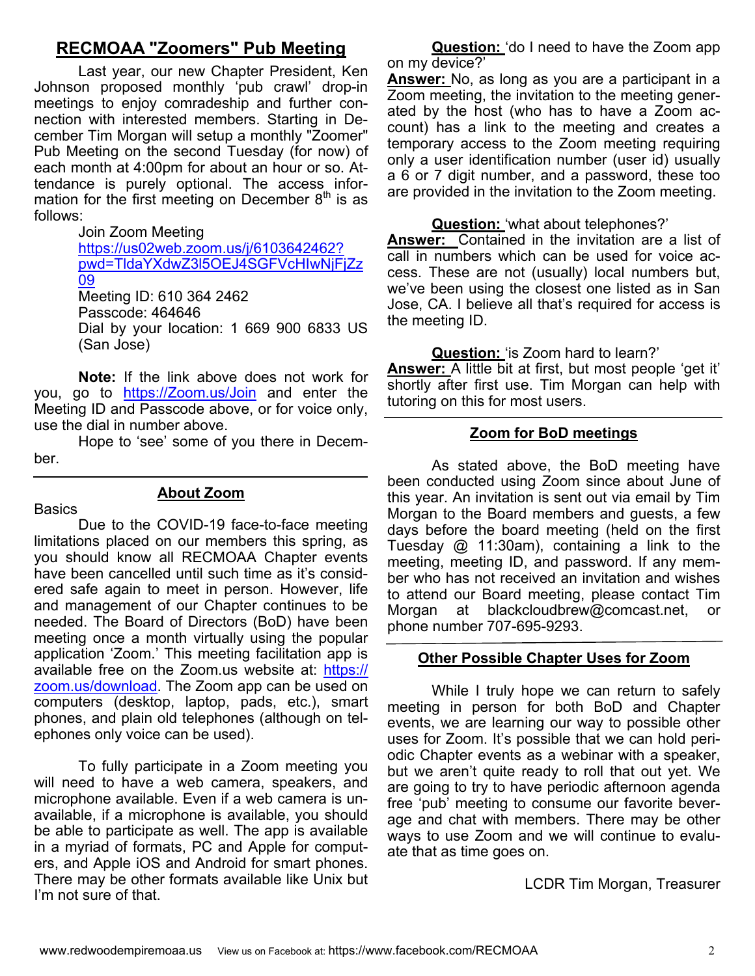## **RECMOAA "Zoomers" Pub Meeting**

Last year, our new Chapter President, Ken Johnson proposed monthly 'pub crawl' drop-in meetings to enjoy comradeship and further connection with interested members. Starting in December Tim Morgan will setup a monthly "Zoomer" Pub Meeting on the second Tuesday (for now) of each month at 4:00pm for about an hour or so. Attendance is purely optional. The access information for the first meeting on December  $8<sup>th</sup>$  is as follows:

> Join Zoom Meeting https://us02web.zoom.us/j/6103642462? pwd=TldaYXdwZ3l5OEJ4SGFVcHIwNjFjZz 09 Meeting ID: 610 364 2462 Passcode: 464646 Dial by your location: 1 669 900 6833 US (San Jose)

**Note:** If the link above does not work for you, go to https://Zoom.us/Join and enter the Meeting ID and Passcode above, or for voice only, use the dial in number above.

 Hope to 'see' some of you there in December.

**Basics** 

#### **About Zoom**

 Due to the COVID-19 face-to-face meeting limitations placed on our members this spring, as you should know all RECMOAA Chapter events have been cancelled until such time as it's considered safe again to meet in person. However, life and management of our Chapter continues to be needed. The Board of Directors (BoD) have been meeting once a month virtually using the popular application 'Zoom.' This meeting facilitation app is available free on the Zoom.us website at: https:// zoom.us/download. The Zoom app can be used on computers (desktop, laptop, pads, etc.), smart phones, and plain old telephones (although on telephones only voice can be used).

 To fully participate in a Zoom meeting you will need to have a web camera, speakers, and microphone available. Even if a web camera is unavailable, if a microphone is available, you should be able to participate as well. The app is available in a myriad of formats, PC and Apple for computers, and Apple iOS and Android for smart phones. There may be other formats available like Unix but I'm not sure of that.

**Question:** 'do I need to have the Zoom app on my device?'

**Answer:** No, as long as you are a participant in a Zoom meeting, the invitation to the meeting generated by the host (who has to have a Zoom account) has a link to the meeting and creates a temporary access to the Zoom meeting requiring only a user identification number (user id) usually a 6 or 7 digit number, and a password, these too are provided in the invitation to the Zoom meeting.

**Question:** 'what about telephones?'

**Answer:** Contained in the invitation are a list of call in numbers which can be used for voice access. These are not (usually) local numbers but, we've been using the closest one listed as in San Jose, CA. I believe all that's required for access is the meeting ID.

**Question:** 'is Zoom hard to learn?'

**Answer:** A little bit at first, but most people 'get it' shortly after first use. Tim Morgan can help with tutoring on this for most users.

#### **Zoom for BoD meetings**

 As stated above, the BoD meeting have been conducted using Zoom since about June of this year. An invitation is sent out via email by Tim Morgan to the Board members and guests, a few days before the board meeting (held on the first Tuesday @ 11:30am), containing a link to the meeting, meeting ID, and password. If any member who has not received an invitation and wishes to attend our Board meeting, please contact Tim Morgan at blackcloudbrew@comcast.net, or phone number 707-695-9293.

#### **Other Possible Chapter Uses for Zoom**

 While I truly hope we can return to safely meeting in person for both BoD and Chapter events, we are learning our way to possible other uses for Zoom. It's possible that we can hold periodic Chapter events as a webinar with a speaker, but we aren't quite ready to roll that out yet. We are going to try to have periodic afternoon agenda free 'pub' meeting to consume our favorite beverage and chat with members. There may be other ways to use Zoom and we will continue to evaluate that as time goes on.

LCDR Tim Morgan, Treasurer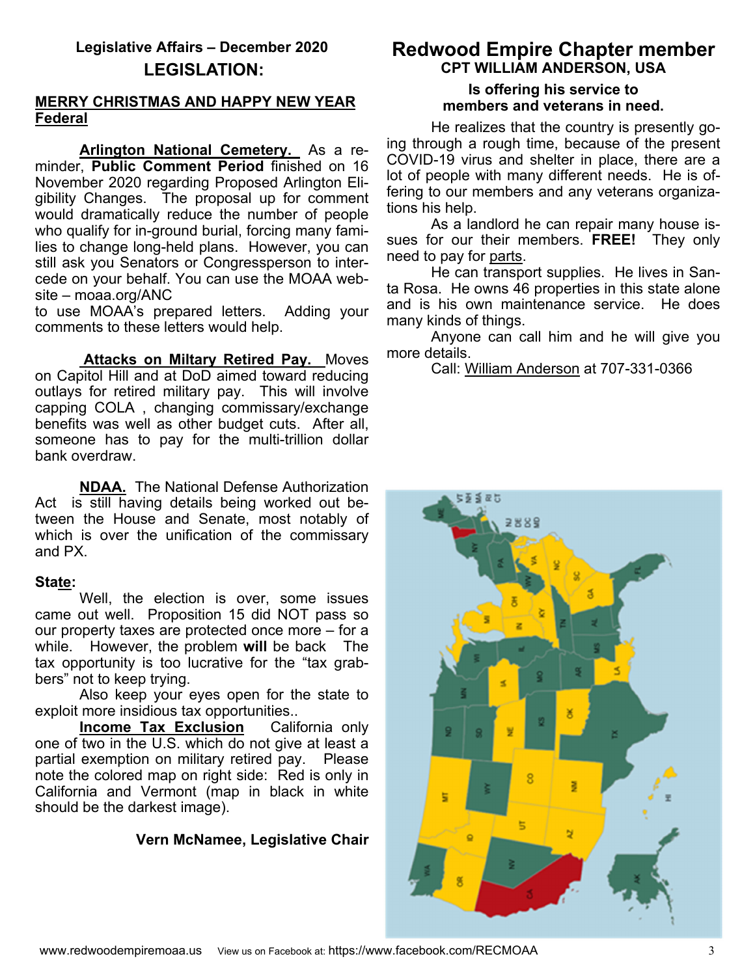## **Legislative Affairs – December 2020 LEGISLATION:**

#### **MERRY CHRISTMAS AND HAPPY NEW YEAR Federal**

**Arlington National Cemetery.** As a reminder, **Public Comment Period** finished on 16 November 2020 regarding Proposed Arlington Eligibility Changes. The proposal up for comment would dramatically reduce the number of people who qualify for in-ground burial, forcing many families to change long-held plans. However, you can still ask you Senators or Congressperson to intercede on your behalf. You can use the MOAA website – moaa.org/ANC

to use MOAA's prepared letters. Adding your comments to these letters would help.

 **Attacks on Miltary Retired Pay.** Moves on Capitol Hill and at DoD aimed toward reducing outlays for retired military pay. This will involve capping COLA , changing commissary/exchange benefits was well as other budget cuts. After all, someone has to pay for the multi-trillion dollar bank overdraw.

**NDAA.** The National Defense Authorization Act is still having details being worked out between the House and Senate, most notably of which is over the unification of the commissary and PX.

#### **State:**

Well, the election is over, some issues came out well. Proposition 15 did NOT pass so our property taxes are protected once more – for a while. However, the problem **will** be back The tax opportunity is too lucrative for the "tax grabbers" not to keep trying.

 Also keep your eyes open for the state to exploit more insidious tax opportunities..

**Income Tax Exclusion** California only one of two in the U.S. which do not give at least a partial exemption on military retired pay. Please note the colored map on right side: Red is only in California and Vermont (map in black in white should be the darkest image).

### **Vern McNamee, Legislative Chair**

# **Redwood Empire Chapter member CPT WILLIAM ANDERSON, USA**

#### **Is offering his service to members and veterans in need.**

 He realizes that the country is presently going through a rough time, because of the present COVID-19 virus and shelter in place, there are a lot of people with many different needs. He is offering to our members and any veterans organizations his help.

 As a landlord he can repair many house issues for our their members. **FREE!** They only need to pay for parts.

 He can transport supplies. He lives in Santa Rosa. He owns 46 properties in this state alone and is his own maintenance service. He does many kinds of things.

 Anyone can call him and he will give you more details.

Call: William Anderson at 707-331-0366